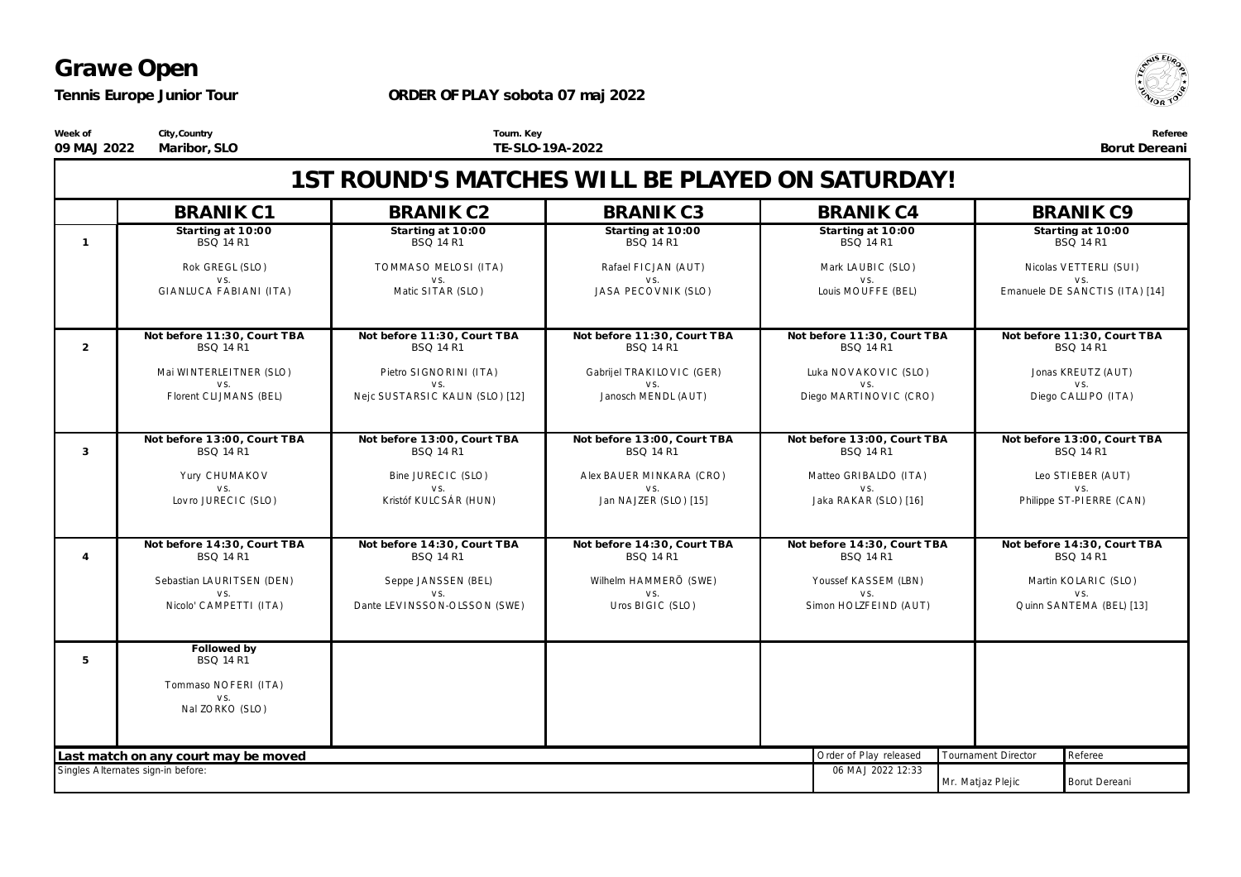**Referee Borut Dereani**

 $\sqrt{5E}$ 

#### **ORDER OF PLAY sobota 07 maj 2022**

**Tourn. Key**

**TE-SLO-19A-2022**

**City,Country Maribor, SLO**

**1ST ROUND'S MATCHES WILL BE PLAYED ON SATURDAY! BRANIK C1 Star ting at 10:00** *BSQ 14 R1* Rok GREGL (SLO )  $V \subseteq$ GIA NLUC A FA BIA NI (ITA ) **BRANIK C2 Star ting at 10:00** *BSQ 14 R1* TO MMA SO MELO SI (ITA )  $V S$ Matic SITAR (SLO) **BRANIK C3 Star ting at 10:00** *BSQ 14 R1* Rafael F IC JA N (A UT)  $V \subseteq$ JASA PECOVNIK (SLO) **BRANIK C4 Star ting at 10:00** *BSQ 14 R1* Mark LA UBIC (SLO )  $V \simeq$ Louis MOUFFE (BEL) **BRANIK C9 Star ting at 10:00** *BSQ 14 R1* Nicolas V ETTERLI (SUI)  $v c$ Emanuele DE SANCTIS (ITA) [14] **1 Not before 11:30, Cour t TBA** *BSQ 14 R1* Mai WINTERLEITNER (SLO )  $V \subseteq$ F lorent C LIJMA NS (BEL) **Not before 11:30, Cour t TBA** *BSQ 14 R1* Pietro SIGNO RINI (ITA )  $V S$ Nejc SUSTA RSIC KA LIN (SLO ) [12] **Not before 11:30, Cour t TBA** *BSQ 14 R1* Gabrijel TRA KILO V IC (GER)  $V \subseteq$ Janosch MENDL (A UT) **Not before 11:30, Cour t TBA** *BSQ 14 R1* Luka NOVAKOVIC (SLO)  $V \subseteq$ Diego MARTINOVIC (CRO) **Not before 11:30, Cour t TBA** *BSQ 14 R1* Jonas KREUTZ (A UT)  $V S$ Diego C A LLIPO (ITA ) **2 Not before 13:00, Cour t TBA** *BSQ 14 R1* Yury CHUMAKOV  $V \subseteq$ Lov ro JUREC IC (SLO) **Not before 13:00, Cour t TBA** *BSQ 14 R1* Bine JUREC IC (SLO )  $V \subseteq$ Kristóf KULC SÁ R (HUN) **Not before 13:00, Cour t TBA** *BSQ 14 R1* A lex BA UER MINKA RA (C RO )  $V \subseteq$ Jan NA JZER (SLO) [15] **Not before 13:00, Cour t TBA** *BSQ 14 R1* Matteo GRIBALDO (ITA) v s. Jaka RA KA R (SLO) [16] **Not before 13:00, Cour t TBA** *BSQ 14 R1* Leo STIEBER (A UT) v s. Philippe ST-PIERRE (C A N) **3 Not before 14:30, Cour t TBA** *BSQ 14 R1* Sebastian LA URITSEN (DEN)  $V \subseteq$ Nicolo' C A MPETTI (ITA ) **Not before 14:30, Cour t TBA** *BSQ 14 R1* Seppe JA NSSEN (BEL)  $V S$ Dante LEVINSSON-OLSSON (SWE) **Not before 14:30, Cour t TBA** *BSQ 14 R1* Wilhelm HA MMERÖ (SWE)  $V \subseteq$ Uros BIGIC (SLO ) **Not before 14:30, Cour t TBA** *BSQ 14 R1* Youssef KA SSEM (LBN)  $V S$ Simon HO LZF EIND (A UT) **Not before 14:30, Cour t TBA** *BSQ 14 R1* Martin KOLARIC (SLO)  $V S$ Q uinn SA NTEMA (BEL) [13] **4 Followed by** *BSQ 14 R1* Tommaso NOFERI (ITA) v s. Nal ZO RKO (SLO ) **5** Last match on any court may be moved referee that the moved referee that the court of Play released Tournament Director Referee Singles A lternates sign-in before: 06 MA J 2022 12:33 Mr. Matjaz Plejic | Borut Dereani



**Week of 09 MAJ 2022**

*Tennis Europe Junior Tour*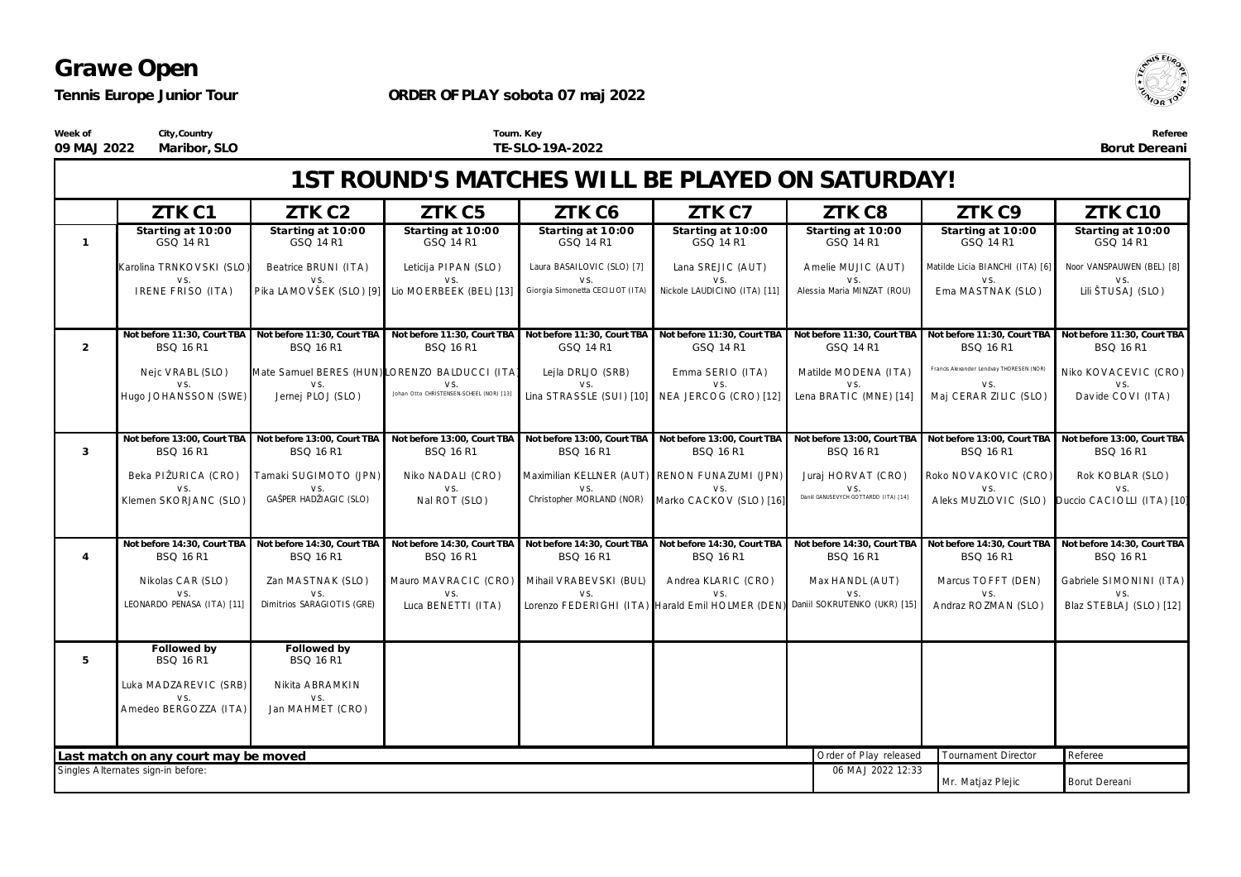*Tennis Europe Junior Tour*

#### **ORDER OF PLAY sobota 07 maj 2022**



 $\sqrt{5}$ Ell

**Borut Dereani**

**Week of 09 MAJ 2022 Maribor, SLO City,Country**

**Tourn. Key TE-SLO-19A-2022**

|                | 1ST ROUND'S MATCHES WILL BE PLAYED ON SATURDAY!                            |                                                 |                                                 |                                                       |                                                                               |                                                 |                                                 |                                                                             |  |
|----------------|----------------------------------------------------------------------------|-------------------------------------------------|-------------------------------------------------|-------------------------------------------------------|-------------------------------------------------------------------------------|-------------------------------------------------|-------------------------------------------------|-----------------------------------------------------------------------------|--|
|                | ZTK C1                                                                     | ZTK <sub>C2</sub>                               | ZTK C5                                          | ZTK C6                                                | ZTK C7                                                                        | ZTK C8                                          | ZTK C9                                          | ZTK C10                                                                     |  |
| $\mathbf{1}$   | Starting at 10:00<br>GSQ 14 R1                                             | Starting at 10:00<br>GSQ 14 R1                  | Starting at 10:00<br>GSQ 14 R1                  | Starting at 10:00<br>GSQ 14 R1                        | Starting at 10:00<br>GSQ 14 R1                                                | Starting at 10:00<br>GSQ 14 R1                  | Starting at 10:00<br>GSQ 14 R1                  | Starting at 10:00<br>GSQ 14 R1                                              |  |
|                | Karolina TRNKOVSKI (SLO)<br>VS.                                            | Beatrice BRUNI (ITA)<br>VS.                     | Leticija PIPAN (SLO)<br>VS.                     | Laura BASAILOVIC (SLO) [7]<br>VS.                     | Lana SREJIC (AUT)<br>VS.                                                      | Amelie MUJIC (AUT)<br>VS.                       | Matilde Licia BIANCHI (ITA) [6]<br>VS.          | Noor VANSPAUWEN (BEL) [8]<br>VS.                                            |  |
|                | IRENE FRISO (ITA)                                                          | Pika LAMOVŠEK (SLO) [9] Lio MOERBEEK (BEL) [13] |                                                 | Giorgia Simonetta CECILIOT (ITA)                      | Nickole LAUDICINO (ITA) [11]                                                  | Alessia Maria MINZAT (ROU)                      | Ema MASTNAK (SLO)                               | Lili ŠTUSAJ (SLO)                                                           |  |
| 2              | Not before 11:30, Court TBA<br><b>BSQ 16 R1</b>                            | Not before 11:30, Court TBA<br><b>BSQ 16 R1</b> | Not before 11:30, Court TBA<br><b>BSQ 16 R1</b> | Not before 11:30, Court TBA<br>GSQ 14 R1              | Not before 11:30, Court TBA<br>GSQ 14 R1                                      | Not before 11:30, Court TBA<br>GSQ 14 R1        | Not before 11:30, Court TBA<br><b>BSQ 16 R1</b> | Not before 11:30, Court TBA<br>BSQ 16 R1                                    |  |
|                | Nejc VRABL (SLO)                                                           | Mate Samuel BERES (HUN) LORENZO BALDUCCI (ITA)  |                                                 | Lejla DRLJO (SRB)                                     | Emma SERIO (ITA)                                                              | Matilde MODENA (ITA)                            | Francis Alexander Lendvay THORESEN (NOR)        | Niko KOVACEVIC (CRO)                                                        |  |
|                | VS.<br>Hugo JOHANSSON (SWE)                                                | VS.<br>Jernej PLOJ (SLO)                        | VS.<br>Johan Otto CHRISTENSEN-SCHEEL (NOR) [13] | VS.<br>Lina STRASSLE (SUI) [10] NEA JERCOG (CRO) [12] | VS.                                                                           | VS.<br>Lena BRATIC (MNE) [14]                   | VS.<br>Maj CERAR ZILIC (SLO)                    | VS.<br>Davide COVI (ITA)                                                    |  |
| $\mathbf{3}$   | Not before 13:00, Court TBA<br><b>BSQ 16 R1</b>                            | Not before 13:00, Court TBA<br><b>BSQ 16 R1</b> | Not before 13:00. Court TBA<br><b>BSQ 16 R1</b> | Not before 13:00, Court TBA<br><b>BSQ 16 R1</b>       | Not before 13:00, Court TBA<br><b>BSQ 16 R1</b>                               | Not before 13:00, Court TBA<br><b>BSQ 16 R1</b> | Not before 13:00. Court TBA<br><b>BSQ 16 R1</b> | Not before 13:00, Court TBA<br><b>BSQ 16 R1</b>                             |  |
|                | Beka PIŽURICA (CRO)                                                        | Tamaki SUGIMOTO (JPN)                           | Niko NADALI (CRO)                               |                                                       | Maximilian KELLNER (AUT) RENON FUNAZUMI (JPN)                                 | Juraj HORVAT (CRO)<br>VS.                       | Roko NOVAKOVIC (CRO)                            | Rok KOBLAR (SLO)<br>VS.                                                     |  |
|                | Klemen SKORJANC (SLO)                                                      | GAŠPER HADŽIAGIC (SLO)                          | Nal ROT (SLO)                                   |                                                       | Christopher MORLAND (NOR) Marko CACKOV (SLO) [16]                             | Daniil GANUSEVYCH GOTTARDO (ITA) [14]           |                                                 | A leks MUZLOVIC (SLO) Duccio CACIOLLI (ITA) [10]                            |  |
| $\overline{4}$ | Not before 14:30, Court TBA<br><b>BSQ 16 R1</b>                            | Not before 14:30, Court TBA<br><b>BSQ 16 R1</b> | Not before 14:30, Court TBA<br>BSQ 16 R1        | Not before 14:30, Court TBA<br><b>BSQ 16 R1</b>       | Not before 14:30, Court TBA<br>BSQ 16 R1                                      | Not before 14:30, Court TBA<br><b>BSQ 16 R1</b> | BSQ 16 R1                                       | Not before 14:30, Court TBA Not before 14:30, Court TBA<br><b>BSQ 16 R1</b> |  |
|                | Nikolas CAR (SLO)<br>VS.                                                   | Zan MASTNAK (SLO)<br>VS.                        | Mauro MAVRACIC (CRO)<br>VS.                     | Mihail VRABEVSKI (BUL)<br>VS.                         | Andrea KLARIC (CRO)<br>VS.                                                    | Max HANDL (AUT)<br>VS.                          | Marcus TOFFT (DEN)<br>VS.                       | Gabriele SIMONINI (ITA)<br>VS.                                              |  |
|                | LEONARDO PENASA (ITA) [11]                                                 | Dimitrios SARAGIOTIS (GRE)                      | Luca BENETTI (ITA)                              |                                                       | Lorenzo FEDERIGHI (ITA) Harald Emil HOLMER (DEN) Daniil SOKRUTENKO (UKR) [15] |                                                 | Andraz ROZMAN (SLO)                             | Blaz STEBLAJ (SLO) [12]                                                     |  |
| 5              | Followed by<br><b>BSQ 16 R1</b>                                            | Followed by<br><b>BSQ 16 R1</b>                 |                                                 |                                                       |                                                                               |                                                 |                                                 |                                                                             |  |
|                | Luka MADZAREVIC (SRB)                                                      | Nikita ABRAMKIN                                 |                                                 |                                                       |                                                                               |                                                 |                                                 |                                                                             |  |
|                | VS.<br>A medeo BERGO ZZA (ITA)                                             | VS.<br>Jan MAHMET (CRO)                         |                                                 |                                                       |                                                                               |                                                 |                                                 |                                                                             |  |
|                |                                                                            |                                                 |                                                 |                                                       |                                                                               |                                                 |                                                 |                                                                             |  |
|                | Last match on any court may be moved<br>Singles Alternates sign-in before: |                                                 |                                                 |                                                       |                                                                               | Order of Play released<br>06 MAJ 2022 12:33     | Tournament Director                             | Referee                                                                     |  |
|                | Mr. Matjaz Plejic<br>Borut Dereani                                         |                                                 |                                                 |                                                       |                                                                               |                                                 |                                                 |                                                                             |  |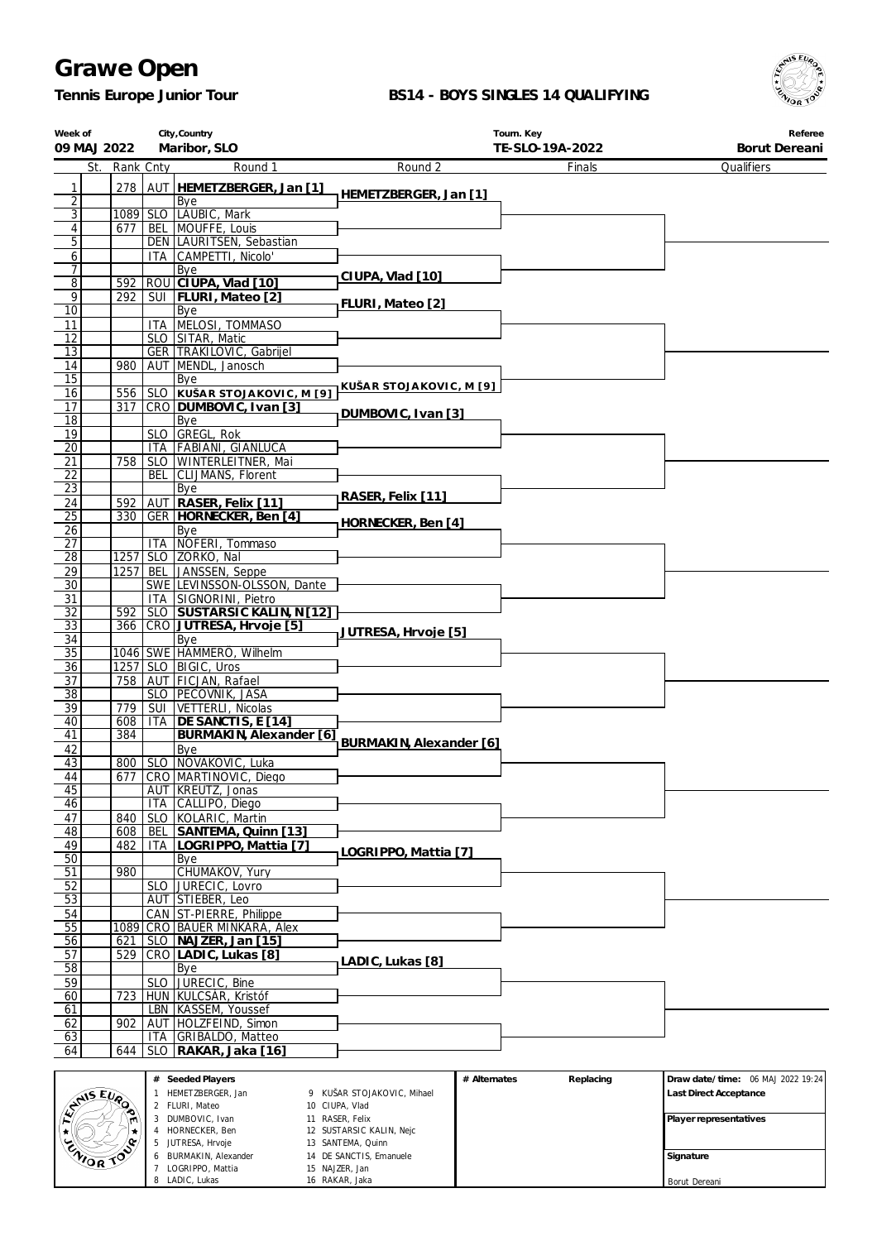*Tennis Europe Junior Tour*

 LOGRIPPO, Mattia LADIC, Lukas

 NAJZER, Jan RAKAR, Jaka

#### **BS14 - BOYS SINGLES 14 QUALIFYING**



Borut Dereani

| Week of<br>09 MAJ 2022             |     |            |                    | City, Country<br>Maribor, SLO                         |                                             | Tourn. Key<br>TE-SLO-19A-2022 | Referee<br>Borut Dereani          |
|------------------------------------|-----|------------|--------------------|-------------------------------------------------------|---------------------------------------------|-------------------------------|-----------------------------------|
|                                    | St. | Rank Cnty  |                    | Round 1                                               | Round 2                                     | Finals                        | Qualifiers                        |
| 1                                  |     | 278        |                    | AUT HEMETZBERGER, Jan [1]                             |                                             |                               |                                   |
| $\overline{2}$                     |     |            |                    | Bye                                                   | HEMETZBERGER, Jan [1]                       |                               |                                   |
| $\overline{3}$                     |     | 1089       |                    | SLO   LAUBIC, Mark                                    |                                             |                               |                                   |
| $\overline{4}$                     |     | 677        |                    | BEL MOUFFE, Louis                                     |                                             |                               |                                   |
| 5<br>$\sqrt{6}$                    |     |            |                    | DEN LAURITSEN, Sebastian<br>ITA CAMPETTI, Nicolo'     |                                             |                               |                                   |
| 7                                  |     |            |                    | Bye                                                   |                                             |                               |                                   |
| 8                                  |     | 592        |                    | ROU CIUPA, Vlad [10]                                  | CIUPA, Vlad [10]                            |                               |                                   |
| 9                                  |     | 292        |                    | SUI   FLURI, Mateo [2]                                | FLURI, Mateo [2]                            |                               |                                   |
| $\overline{10}$<br>11              |     |            |                    | Bye<br>ITA MELOSI, TOMMASO                            |                                             |                               |                                   |
| 12                                 |     |            |                    | SLO SITAR, Matic                                      |                                             |                               |                                   |
| 13                                 |     |            |                    | GER   TRAKILOVIC, Gabrijel                            |                                             |                               |                                   |
| 14                                 |     | 980        |                    | AUT MENDL, Janosch                                    |                                             |                               |                                   |
| 15                                 |     |            |                    | Bye                                                   | KUŠAR STOJAKOVIC, M [9]                     |                               |                                   |
| 16<br>17                           |     | 556<br>317 |                    | SLO KUŠAR STOJAKOVIC, M [9]<br>CRO DUMBOVIC, Ivan [3] |                                             |                               |                                   |
| 18                                 |     |            |                    | Bye                                                   | DUMBOVIC, Ivan [3]                          |                               |                                   |
| 19                                 |     |            |                    | SLO GREGL, Rok                                        |                                             |                               |                                   |
| 20                                 |     |            |                    | ITA FABIANI, GIANLUCA                                 |                                             |                               |                                   |
| 21                                 |     | 758        |                    | SLO WINTERLEITNER, Mai                                |                                             |                               |                                   |
| $\overline{22}$<br>$\overline{23}$ |     |            | BEL                | CLIJMANS, Florent<br>Bye                              |                                             |                               |                                   |
| 24                                 |     | 592        |                    | AUT RASER, Felix [11]                                 | RASER, Felix [11]                           |                               |                                   |
| $\overline{25}$                    |     | 330        |                    | GER HORNECKER, Ben [4]                                | HORNECKER, Ben [4]                          |                               |                                   |
| 26                                 |     |            |                    | Bye                                                   |                                             |                               |                                   |
| 27                                 |     |            |                    | ITA NOFERI, Tommaso                                   |                                             |                               |                                   |
| 28<br>29                           |     | 1257       |                    | 1257 SLO ZORKO, Nal<br>BEL JANSSEN, Seppe             |                                             |                               |                                   |
| 30                                 |     |            |                    | SWE LEVINSSON-OLSSON, Dante                           |                                             |                               |                                   |
| 31                                 |     |            |                    | ITA SIGNORINI, Pietro                                 |                                             |                               |                                   |
| $\overline{32}$                    |     | 592        |                    | SLO SUSTARSIC KALIN, N[12]                            |                                             |                               |                                   |
| $\overline{33}$                    |     | 366        |                    | CRO JUTRESA, Hrvoje [5]                               | JUTRESA, Hrvoje [5]                         |                               |                                   |
| 34<br>35                           |     |            |                    | Bye<br>1046 SWE HAMMERÖ, Wilhelm                      |                                             |                               |                                   |
| $\overline{36}$                    |     |            |                    | 1257 SLO BIGIC, Uros                                  |                                             |                               |                                   |
| 37                                 |     | 758        |                    | AUT FICJAN, Rafael                                    |                                             |                               |                                   |
| $\overline{38}$                    |     |            |                    | SLO PECOVNIK, JASA                                    |                                             |                               |                                   |
| 39<br>40                           |     | 779<br>608 | SUI                | VETTERLI, Nicolas<br>ITA   DE SANCTIS, E [14]         |                                             |                               |                                   |
| 41                                 |     | 384        |                    | BURMAKIN, Alexander [6]                               |                                             |                               |                                   |
| 42                                 |     |            |                    | Bye                                                   | BURMAKIN, Alexander [6]                     |                               |                                   |
| 43                                 |     |            |                    | 800   SLO   NOVAKOVIC, Luka                           |                                             |                               |                                   |
| 44                                 |     |            |                    | 677 CRO MARTINOVIC, Diego                             |                                             |                               |                                   |
| 45<br>46                           |     |            | <b>ITA</b>         | AUT   KREUTZ, Jonas<br>CALLIPO, Diego                 |                                             |                               |                                   |
| 47                                 |     | 840        |                    | SLO KOLARIC, Martin                                   |                                             |                               |                                   |
| 48                                 |     | 608        | BEL                | SANTEMA, Quinn [13]                                   |                                             |                               |                                   |
| 49                                 |     | 482        | ITA                | LOGRIPPO, Mattia [7]                                  | LOGRIPPO, Mattia [7]                        |                               |                                   |
| 50                                 |     |            |                    | Bye                                                   |                                             |                               |                                   |
| 51<br>52                           |     | 980        | SLO I              | CHUMAKOV, Yury<br>JURECIC, Lovro                      |                                             |                               |                                   |
| $\overline{53}$                    |     |            |                    | AUT STIEBER, Leo                                      |                                             |                               |                                   |
| 54                                 |     |            | CAN                | ST-PIERRE, Philippe                                   |                                             |                               |                                   |
| 55                                 |     | 1089       |                    | CRO BAUER MINKARA, Alex                               |                                             |                               |                                   |
| 56                                 |     | 621        | SLO                | NAJZER, Jan [15]                                      |                                             |                               |                                   |
| 57<br>58                           |     | 529        |                    | CRO LADIC, Lukas [8]<br>Bye                           | LADIC, Lukas [8]                            |                               |                                   |
| 59                                 |     |            | <b>SLO</b>         | JURECIC, Bine                                         |                                             |                               |                                   |
| 60                                 |     | 723        |                    | HUN KULCSÁR, Kristóf                                  |                                             |                               |                                   |
| 61                                 |     |            |                    | LBN   KASSEM, Youssef                                 |                                             |                               |                                   |
| 62                                 |     | 902        |                    | AUT HOLZFEIND, Simon                                  |                                             |                               |                                   |
| 63<br>64                           |     | 644        | ITA.<br><b>SLO</b> | GRIBALDO, Matteo                                      |                                             |                               |                                   |
|                                    |     |            |                    | RAKAR, Jaka [16]                                      |                                             |                               |                                   |
|                                    |     |            |                    | # Seeded Players                                      |                                             | # Alternates<br>Replacing     | Draw date/time: 06 MAJ 2022 19:24 |
| EVAIS EVAD                         |     |            |                    | 1 HEMETZBERGER, Jan                                   | 9 KUŠAR STOJAKOVIC, Mihael                  |                               | Last Direct Acceptance            |
|                                    |     |            |                    | 2 FLURI, Mateo                                        | 10 CIUPA, Vlad                              |                               |                                   |
|                                    |     |            |                    | 3 DUMBOVIC, Ivan<br>4 HORNECKER, Ben                  | 11 RASER, Felix<br>12 SUSTARSIC KALIN, Nejc |                               | Player representatives            |
|                                    |     |            |                    | 5 JUTRESA, Hrvoje                                     | 13 SANTEMA, Quinn                           |                               |                                   |
| <b>ENIOR</b>                       |     | $\hat{P}$  |                    | 6 BURMAKIN, Alexander<br>LOGRIPPO Mattia              | 14 DE SANCTIS, Emanuele<br>15 NAJZER Jan    |                               | Signature                         |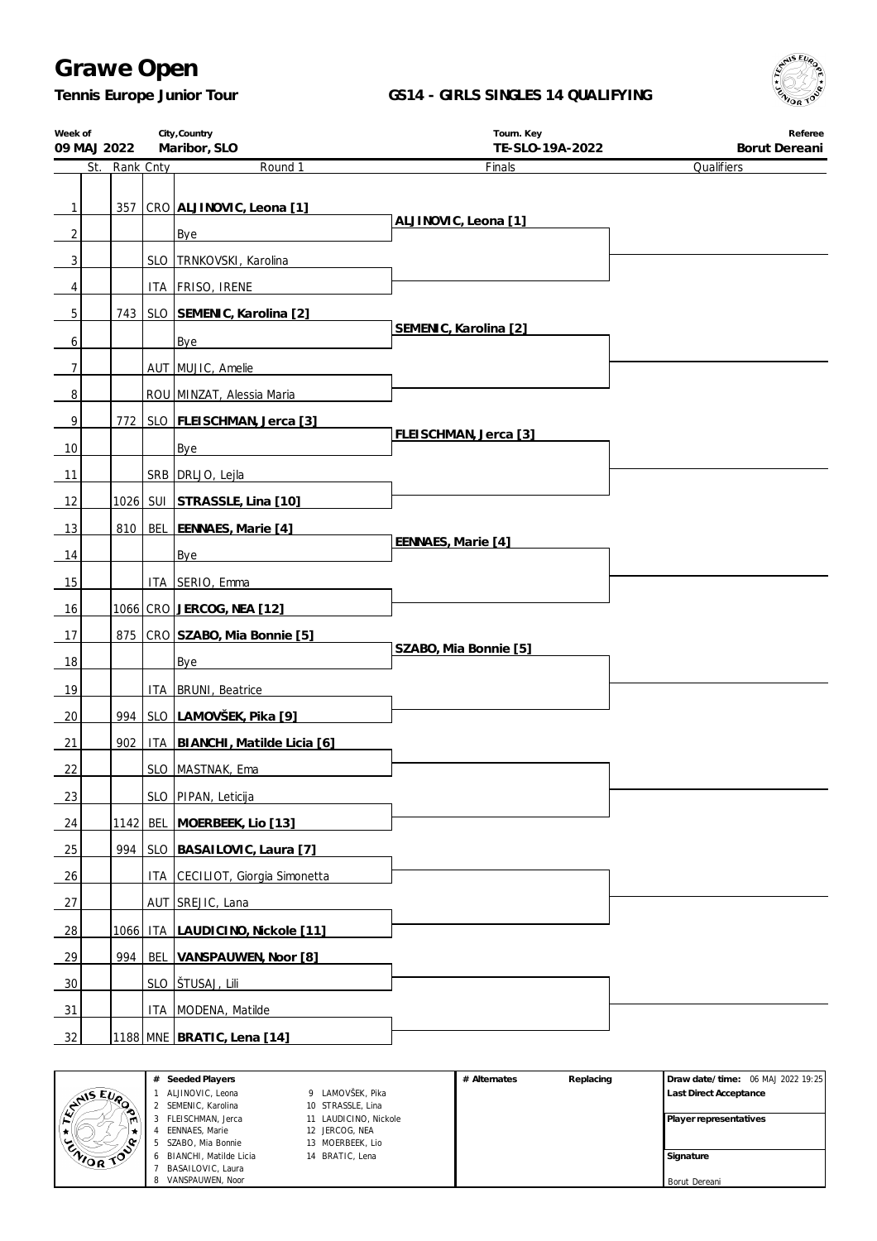*Tennis Europe Junior Tour*

### **GS14 - GIRLS SINGLES 14 QUALIFYING**



| Week of<br>09 MAJ 2022 |               | City, Country<br>Maribor, SLO     | Tourn. Key<br>TE-SLO-19A-2022 | Referee<br>Borut Dereani |
|------------------------|---------------|-----------------------------------|-------------------------------|--------------------------|
|                        | St. Rank Cnty | Round 1                           | Finals                        | Qualifiers               |
|                        |               |                                   |                               |                          |
| $\mathbf{1}$           |               | 357 CRO ALJINOVIC, Leona [1]      | ALJINOVIC, Leona [1]          |                          |
| $\overline{2}$         |               | Bye                               |                               |                          |
| 3                      |               | SLO TRNKOVSKI, Karolina           |                               |                          |
| 4                      |               | ITA FRISO, IRENE                  |                               |                          |
| 5                      |               | 743   SLO SEMENIC, Karolina [2]   |                               |                          |
| 6                      |               | Bye                               | SEMENIC, Karolina [2]         |                          |
| $\overline{7}$         |               | AUT MUJIC, Amelie                 |                               |                          |
| $\, 8$                 |               | ROU MINZAT, Alessia Maria         |                               |                          |
| 9                      |               | 772   SLO   FLEISCHMAN, Jerca [3] |                               |                          |
| 10                     |               | Bye                               | FLEISCHMAN, Jerca [3]         |                          |
| 11                     |               | SRB DRLJO, Lejla                  |                               |                          |
| 12                     |               | 1026 SUI STRASSLE, Lina [10]      |                               |                          |
| 13                     |               | 810   BEL   EENNAES, Marie [4]    |                               |                          |
| 14                     |               | Bye                               | EENNAES, Marie [4]            |                          |
| 15                     |               | ITA SERIO, Emma                   |                               |                          |
| 16                     |               | <u>1066 CRO JERCOG, NEA [12]</u>  |                               |                          |
| 17                     |               | 875   CRO SZABO, Mia Bonnie [5]   |                               |                          |
| 18                     |               | Bye                               | SZABO, Mia Bonnie [5]         |                          |
|                        |               |                                   |                               |                          |
| 19                     |               | ITA   BRUNI, Beatrice             |                               |                          |
| 20                     |               | 994   SLO LAMOVŠEK, Pika [9]      |                               |                          |
| 21                     | 902           | ITA BIANCHI, Matilde Licia [6]    |                               |                          |
| <u>22</u>              |               | SLO MASTNAK, Ema                  |                               |                          |
| 23                     |               | SLO PIPAN, Leticija               |                               |                          |
| 24                     |               | 1142 BEL MOERBEEK, Lio [13]       |                               |                          |
| 25                     |               | 994   SLO   BASAILOVIC, Laura [7] |                               |                          |
| <u>26</u>              |               | ITA CECILIOT, Giorgia Simonetta   |                               |                          |
| 27                     |               | AUT SREJIC, Lana                  |                               |                          |
| 28                     |               | 1066 ITA LAUDICINO, Nickole [11]  |                               |                          |
| 29                     | 994 l         | BEL VANSPAUWEN, Noor [8]          |                               |                          |
| 30                     |               | <u>SLO STUSAJ, Lili</u>           |                               |                          |
| 31                     |               | ITA MODENA, Matilde               |                               |                          |
| 32                     |               | <u>1188 MNE BRATIC, Lena [14]</u> |                               |                          |

|                  | Seeded Players<br>#      | Replacing<br># Alternates |  | Draw date/time: 06 MAJ 2022 19:25 |                               |
|------------------|--------------------------|---------------------------|--|-----------------------------------|-------------------------------|
| <b>AIS EVA</b>   | ALJINOVIC, Leona         | 9 LAMOVŠEK, Pika          |  |                                   | <b>Last Direct Acceptance</b> |
|                  | 2 SEMENIC, Karolina      | 10 STRASSLE, Lina         |  |                                   |                               |
|                  | FLEISCHMAN, Jerca        | 11 LAUDICINO, Nickole     |  |                                   | Player representatives        |
|                  | EENNAES, Marie           | 12 JERCOG, NEA            |  |                                   |                               |
| စ-               | SZABO, Mia Bonnie        | 13 MOERBEEK, Lio          |  |                                   |                               |
| <b>ENIOR TOP</b> | 6 BIANCHI, Matilde Licia | 14 BRATIC, Lena           |  |                                   | Signature                     |
|                  | BASAILOVIC, Laura        |                           |  |                                   |                               |
|                  | 8 VANSPAUWEN, Noor       |                           |  |                                   | Borut Dereani                 |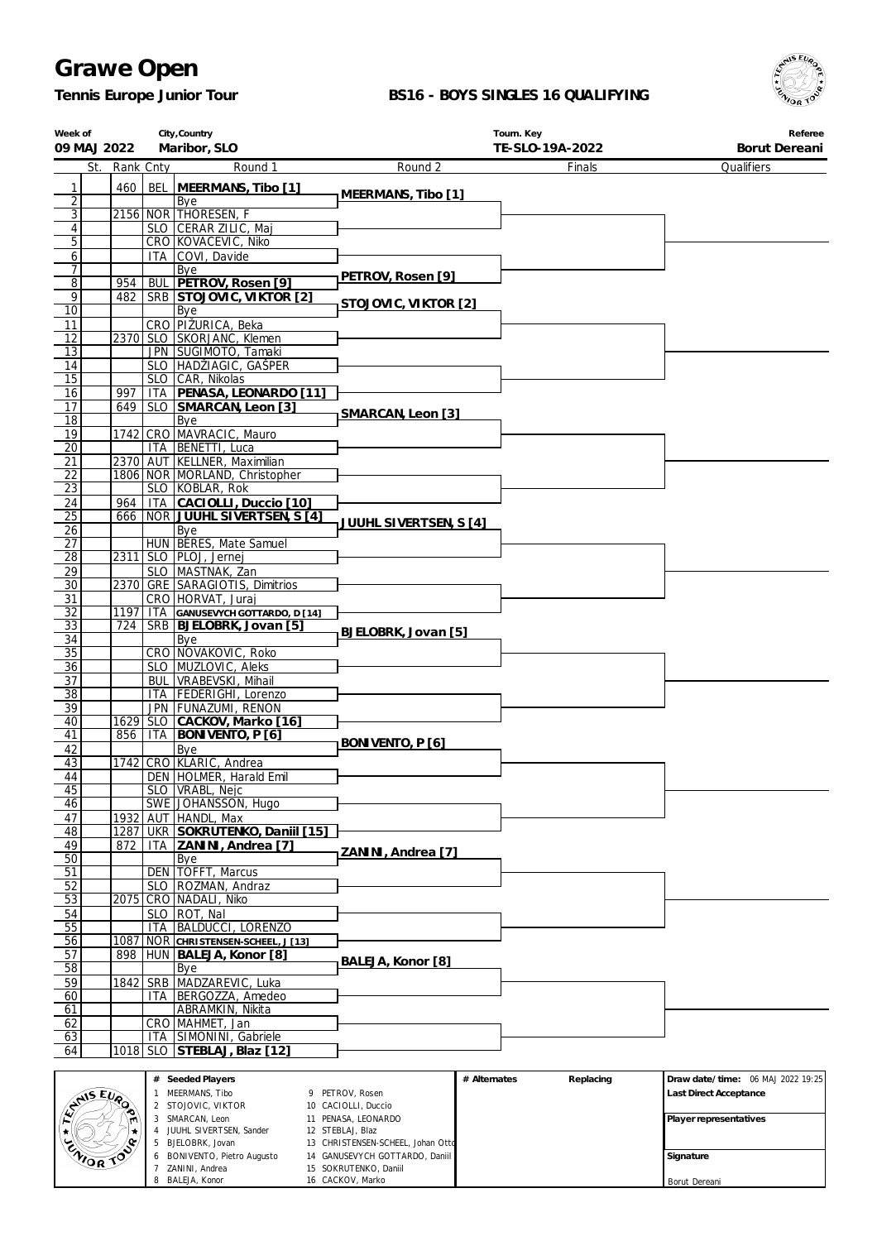*Tennis Europe Junior Tour*

 BONIVENTO, Pietro Augusto ZANINI, Andrea BALEJA, Konor

 GANUSEVYCH GOTTARDO, Daniil SOKRUTENKO, Daniil CACKOV, Marko

Borut Dereani

#### **BS16 - BOYS SINGLES 16 QUALIFYING**



| Week of<br>09 MAJ 2022           |                             |            | City, Country<br>Maribor, SLO                                 |                                                                     | Tourn. Key<br>TE-SLO-19A-2022 | Referee<br>Borut Dereani          |
|----------------------------------|-----------------------------|------------|---------------------------------------------------------------|---------------------------------------------------------------------|-------------------------------|-----------------------------------|
| St.                              | Rank Cnty                   |            | Round 1                                                       | Round 2                                                             | Finals                        | Qualifiers                        |
| 1                                | 460                         |            | BEL   MEERMANS, Tibo [1]                                      |                                                                     |                               |                                   |
| $\overline{2}$                   |                             |            | Bye                                                           | MEERMANS, Tibo [1]                                                  |                               |                                   |
| $\overline{3}$<br>$\overline{4}$ |                             |            | 2156 NOR THORESEN, F<br>SLO CERAR ZILIC, Maj                  |                                                                     |                               |                                   |
| 5                                |                             |            | CRO KOVACEVIC, Niko                                           |                                                                     |                               |                                   |
| 6                                |                             |            | ITA COVI, Davide                                              |                                                                     |                               |                                   |
| 7<br>$\overline{8}$              | 954                         |            | Bye<br>BUL PETROV, Rosen [9]                                  | PETROV, Rosen [9]                                                   |                               |                                   |
| 9                                | 482                         |            | SRB STOJOVIC, VIKTOR [2]                                      |                                                                     |                               |                                   |
| $\overline{10}$                  |                             |            | Bye                                                           | STOJOVIC, VIKTOR [2]                                                |                               |                                   |
| 11                               |                             |            | CRO PIŽURICA, Beka                                            |                                                                     |                               |                                   |
| 12<br>13                         |                             |            | 2370 SLO SKORJANC, Klemen<br>JPN SUGIMOTO, Tamaki             |                                                                     |                               |                                   |
| 14                               |                             |            | SLO HADŽIAGIC, GAŠPER                                         |                                                                     |                               |                                   |
| $\overline{15}$                  |                             |            | SLO CAR, Nikolas                                              |                                                                     |                               |                                   |
| 16<br>17                         | 997                         |            | ITA PENASA, LEONARDO [11]<br>649   SLO   SMARCAN, Leon [3]    |                                                                     |                               |                                   |
| 18                               |                             |            | Bye                                                           | SMARCAN, Leon [3]                                                   |                               |                                   |
| 19                               |                             |            | 1742 CRO MAVRACIC, Mauro                                      |                                                                     |                               |                                   |
| $\overline{20}$                  |                             |            | ITA   BENETTI, Luca                                           |                                                                     |                               |                                   |
| 21<br>$\overline{22}$            |                             |            | 2370 AUT KELLNER, Maximilian<br>1806 NOR MORLAND, Christopher |                                                                     |                               |                                   |
| $\overline{23}$                  |                             |            | SLO KOBLAR, Rok                                               |                                                                     |                               |                                   |
| 24                               | 964                         |            | ITA CACIOLLI, Duccio [10]                                     |                                                                     |                               |                                   |
| $\overline{25}$                  | 666                         |            | NOR JUUHL SIVERTSEN, S [4]                                    | JUUHL SIVERTSEN, S [4]                                              |                               |                                   |
| 26<br>27                         |                             |            | Bye<br>HUN   BERES, Mate Samuel                               |                                                                     |                               |                                   |
| $\overline{28}$                  |                             |            | 2311 SLO PLOJ, Jernej                                         |                                                                     |                               |                                   |
| 29                               |                             |            | SLO   MASTNAK, Zan                                            |                                                                     |                               |                                   |
| $\overline{30}$<br>31            |                             |            | 2370 GRE SARAGIOTIS, Dimitrios<br>CRO HORVAT, Juraj           |                                                                     |                               |                                   |
| $\overline{32}$                  | 1197                        |            | ITA GANUSEVYCH GOTTARDO, D [14]                               |                                                                     |                               |                                   |
| 33                               | 724                         |            | SRB BJELOBRK, Jovan [5]                                       | BJELOBRK, Jovan [5]                                                 |                               |                                   |
| 34                               |                             |            | Bye                                                           |                                                                     |                               |                                   |
| $\overline{35}$<br>36            |                             |            | CRO NOVAKOVIC, Roko<br>SLO MUZLOVIC, Aleks                    |                                                                     |                               |                                   |
| $\overline{37}$                  |                             |            | <b>BUL VRABEVSKI, Mihail</b>                                  |                                                                     |                               |                                   |
| $\overline{38}$                  |                             |            | ITA   FEDERIGHI, Lorenzo                                      |                                                                     |                               |                                   |
| 39<br>40                         |                             |            | JPN FUNAZUMI, RENON<br>1629 SLO CACKOV, Marko [16]            |                                                                     |                               |                                   |
| 41                               | 856                         | ITA        | <b>BONIVENTO, P [6]</b>                                       |                                                                     |                               |                                   |
| 42                               |                             |            | Bye                                                           | BONIVENTO, P [6]                                                    |                               |                                   |
| 43                               |                             |            | 1742 CRO KLARIC, Andrea                                       |                                                                     |                               |                                   |
| 44<br>45                         |                             |            | DEN HOLMER, Harald Emil<br>SLO   VRABL, Nejc                  |                                                                     |                               |                                   |
| 46                               |                             |            | SWE JOHANSSON, Hugo                                           |                                                                     |                               |                                   |
| 47                               | 1932                        |            | AUT HANDL, Max                                                |                                                                     |                               |                                   |
| 48                               | 1287                        |            | UKR SOKRUTENKO, Daniil [15]                                   |                                                                     |                               |                                   |
| 49<br>$\overline{50}$            | 872                         |            | ITA ZANINI, Andrea [7]<br>Bye                                 | ZANINI, Andrea [7]                                                  |                               |                                   |
| 51                               |                             |            | DEN   TOFFT, Marcus                                           |                                                                     |                               |                                   |
| 52                               |                             |            | SLO ROZMAN, Andraz                                            |                                                                     |                               |                                   |
| 53<br>$\overline{54}$            | 2075                        | CRO        | NADALI, Niko<br>SLO   ROT, Nal                                |                                                                     |                               |                                   |
| 55                               |                             | <b>ITA</b> | <b>BALDUCCI, LORENZO</b>                                      |                                                                     |                               |                                   |
| 56                               | 1087                        |            | NOR CHRISTENSEN-SCHEEL, J [13]                                |                                                                     |                               |                                   |
| 57                               | 898                         | <b>HUN</b> | BALEJA, Konor [8]                                             | BALEJA, Konor [8]                                                   |                               |                                   |
| 58<br>59                         | 1842                        | <b>SRB</b> | Bye<br>MADZAREVIC, Luka                                       |                                                                     |                               |                                   |
| 60                               |                             | ITA.       | BERGOZZA, Amedeo                                              |                                                                     |                               |                                   |
| 61                               |                             |            | ABRAMKIN, Nikita                                              |                                                                     |                               |                                   |
| 62                               |                             | CRO        | MAHMET, Jan                                                   |                                                                     |                               |                                   |
| 63<br>64                         | 1018                        | <b>SLO</b> | ITA SIMONINI, Gabriele<br>STEBLAJ, Blaz [12]                  |                                                                     |                               |                                   |
|                                  |                             |            |                                                               |                                                                     |                               |                                   |
|                                  |                             |            | # Seeded Players                                              |                                                                     | # Alternates<br>Replacing     | Draw date/time: 06 MAJ 2022 19:25 |
|                                  |                             |            | 1 MEERMANS, Tibo<br>2 STOJOVIC, VIKTOR                        | 9 PETROV, Rosen<br>10 CACIOLLI, Duccio                              |                               | Last Direct Acceptance            |
| AMISEURO                         |                             | 3          | SMARCAN, Leon                                                 | 11 PENASA, LEONARDO                                                 |                               | Player representatives            |
|                                  |                             |            | 4 JUUHL SIVERTSEN, Sander                                     | 12 STEBLAJ, Blaz                                                    |                               |                                   |
| <b>ENIOR</b>                     | $\widehat{\curvearrowleft}$ |            | 5 BJELOBRK, Jovan<br>BONIVENTO, Pietro Augusto                | 13 CHRISTENSEN-SCHEEL, Johan Otto<br>14 GANUSEVYCH GOTTARDO, Daniil |                               | Signature                         |
|                                  |                             |            | ZANINI Andrea                                                 | 15 SOKPHTENKO Daniil                                                |                               |                                   |